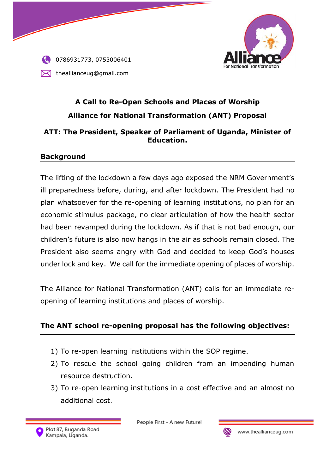



# **A Call to Re-Open Schools and Places of Worship Alliance for National Transformation (ANT) Proposal**

#### **ATT: The President, Speaker of Parliament of Uganda, Minister of Education.**

#### **Background**

The lifting of the lockdown a few days ago exposed the NRM Government's ill preparedness before, during, and after lockdown. The President had no plan whatsoever for the re-opening of learning institutions, no plan for an economic stimulus package, no clear articulation of how the health sector had been revamped during the lockdown. As if that is not bad enough, our children's future is also now hangs in the air as schools remain closed. The President also seems angry with God and decided to keep God's houses under lock and key. We call for the immediate opening of places of worship.

The Alliance for National Transformation (ANT) calls for an immediate reopening of learning institutions and places of worship.

#### **The ANT school re-opening proposal has the following objectives:**

- 1) To re-open learning institutions within the SOP regime.
- 2) To rescue the school going children from an impending human resource destruction.
- 3) To re-open learning institutions in a cost effective and an almost no additional cost.



People First - A new Future!

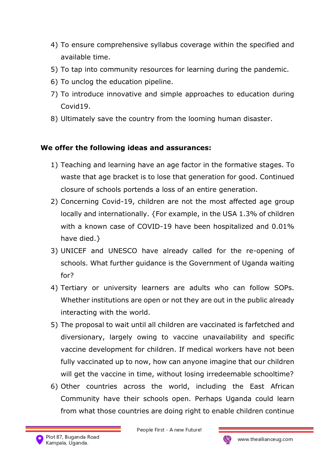- 4) To ensure comprehensive syllabus coverage within the specified and available time.
- 5) To tap into community resources for learning during the pandemic.
- 6) To unclog the education pipeline.
- 7) To introduce innovative and simple approaches to education during Covid19.
- 8) Ultimately save the country from the looming human disaster.

## **We offer the following ideas and assurances:**

- 1) Teaching and learning have an age factor in the formative stages. To waste that age bracket is to lose that generation for good. Continued closure of schools portends a loss of an entire generation.
- 2) Concerning Covid-19, children are not the most affected age group locally and internationally. {For example, in the USA 1.3% of children with a known case of COVID-19 have been hospitalized and 0.01% have died. }
- 3) UNICEF and UNESCO have already called for the re-opening of schools. What further guidance is the Government of Uganda waiting for?
- 4) Tertiary or university learners are adults who can follow SOPs. Whether institutions are open or not they are out in the public already interacting with the world.
- 5) The proposal to wait until all children are vaccinated is farfetched and diversionary, largely owing to vaccine unavailability and specific vaccine development for children. If medical workers have not been fully vaccinated up to now, how can anyone imagine that our children will get the vaccine in time, without losing irredeemable schooltime?
- 6) Other countries across the world, including the East African Community have their schools open. Perhaps Uganda could learn from what those countries are doing right to enable children continue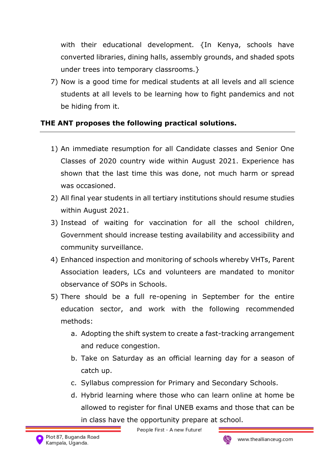with their educational development. {In Kenya, schools have converted libraries, dining halls, assembly grounds, and shaded spots under trees into temporary classrooms.}

7) Now is a good time for medical students at all levels and all science students at all levels to be learning how to fight pandemics and not be hiding from it.

## **THE ANT proposes the following practical solutions.**

- 1) An immediate resumption for all Candidate classes and Senior One Classes of 2020 country wide within August 2021. Experience has shown that the last time this was done, not much harm or spread was occasioned.
- 2) All final year students in all tertiary institutions should resume studies within August 2021.
- 3) Instead of waiting for vaccination for all the school children, Government should increase testing availability and accessibility and community surveillance.
- 4) Enhanced inspection and monitoring of schools whereby VHTs, Parent Association leaders, LCs and volunteers are mandated to monitor observance of SOPs in Schools.
- 5) There should be a full re-opening in September for the entire education sector, and work with the following recommended methods:
	- a. Adopting the shift system to create a fast-tracking arrangement and reduce congestion.
	- b. Take on Saturday as an official learning day for a season of catch up.
	- c. Syllabus compression for Primary and Secondary Schools.
	- d. Hybrid learning where those who can learn online at home be allowed to register for final UNEB exams and those that can be in class have the opportunity prepare at school.

People First - A new Future!